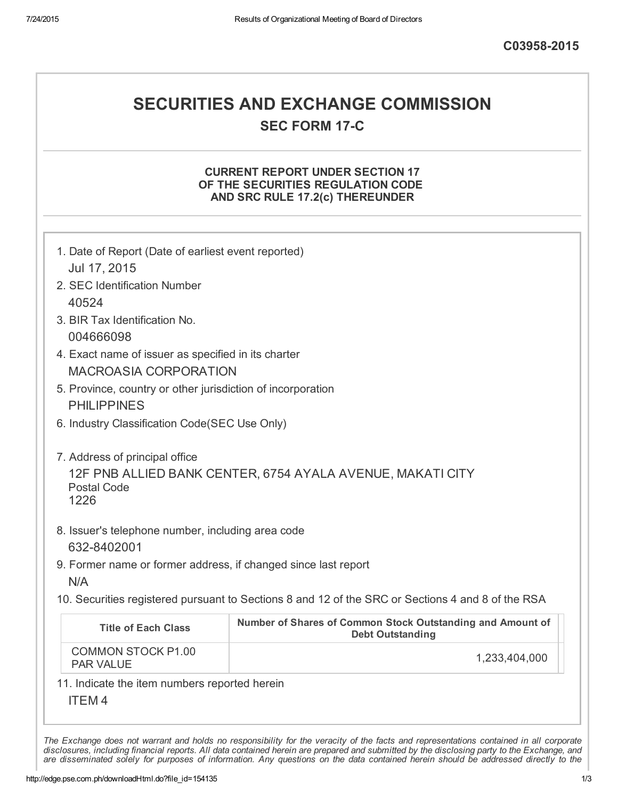## SECURITIES AND EXCHANGE COMMISSION **SEC FORM 17-C**

### CURRENT REPORT UNDER SECTION 17 OF THE SECURITIES REGULATION CODE AND SRC RULE 17.2(c) THEREUNDER

| 1. Date of Report (Date of earliest event reported)<br>Jul 17, 2015                 |                                                                                                   |  |  |
|-------------------------------------------------------------------------------------|---------------------------------------------------------------------------------------------------|--|--|
| 2. SEC Identification Number<br>40524                                               |                                                                                                   |  |  |
| 3. BIR Tax Identification No.<br>004666098                                          |                                                                                                   |  |  |
| 4. Exact name of issuer as specified in its charter<br><b>MACROASIA CORPORATION</b> |                                                                                                   |  |  |
| 5. Province, country or other jurisdiction of incorporation<br><b>PHILIPPINES</b>   |                                                                                                   |  |  |
| 6. Industry Classification Code(SEC Use Only)                                       |                                                                                                   |  |  |
| 7. Address of principal office<br><b>Postal Code</b><br>1226                        | 12F PNB ALLIED BANK CENTER, 6754 AYALA AVENUE, MAKATI CITY                                        |  |  |
| 8. Issuer's telephone number, including area code<br>632-8402001                    |                                                                                                   |  |  |
| 9. Former name or former address, if changed since last report<br>N/A               |                                                                                                   |  |  |
|                                                                                     | 10. Securities registered pursuant to Sections 8 and 12 of the SRC or Sections 4 and 8 of the RSA |  |  |
| <b>Title of Each Class</b>                                                          | Number of Shares of Common Stock Outstanding and Amount of<br><b>Debt Outstanding</b>             |  |  |
| <b>COMMON STOCK P1.00</b><br><b>PAR VALUE</b>                                       | 1,233,404,000                                                                                     |  |  |
| 11. Indicate the item numbers reported herein<br><b>ITEM4</b>                       |                                                                                                   |  |  |

The Exchange does not warrant and holds no responsibility for the veracity of the facts and representations contained in all corporate disclosures, including financial reports. All data contained herein are prepared and submitted by the disclosing party to the Exchange, and are disseminated solely for purposes of information. Any questions on the data contained herein should be addressed directly to the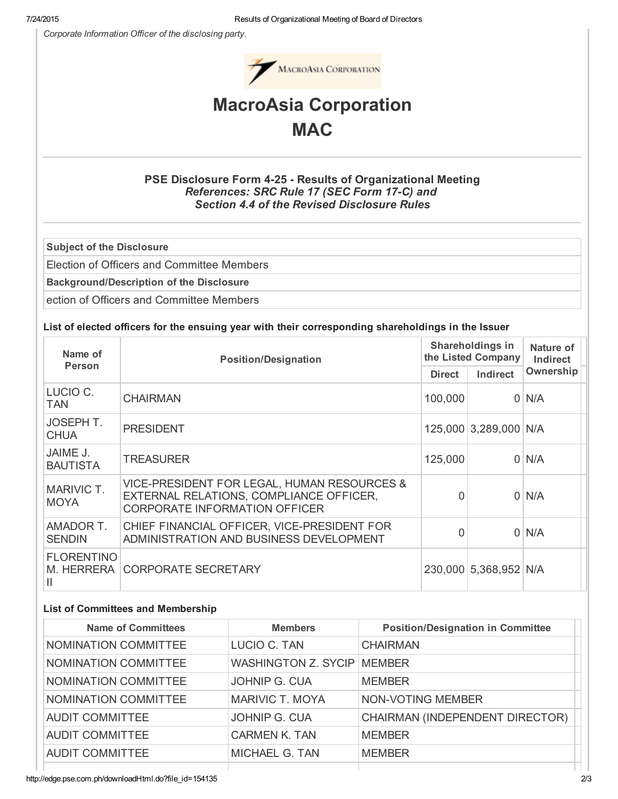*Corporate Information Officer of the disclosing party.*



# MacroAsia Corporation **MAC**

## PSE Disclosure Form 4-25 - Results of Organizational Meeting *References: SRC Rule 17 (SEC Form 17C) and Section 4.4 of the Revised Disclosure Rules*

Subject of the Disclosure

Election of Officers and Committee Members

Background/Description of the Disclosure

ection of Officers and Committee Members

#### List of elected officers for the ensuing year with their corresponding shareholdings in the Issuer

| Name of                              | <b>Position/Designation</b>                                                                                                         | Shareholdings in<br>the Listed Company |                       | Nature of<br>Indirect |
|--------------------------------------|-------------------------------------------------------------------------------------------------------------------------------------|----------------------------------------|-----------------------|-----------------------|
| <b>Person</b>                        |                                                                                                                                     | <b>Direct</b>                          | Indirect              | Ownership             |
| LUCIO C.<br><b>TAN</b>               | <b>CHAIRMAN</b>                                                                                                                     | 100,000                                | $\overline{0}$        | N/A                   |
| <b>JOSEPH T.</b><br><b>CHUA</b>      | <b>PRESIDENT</b>                                                                                                                    |                                        | 125,000 3,289,000 N/A |                       |
| JAIME J.<br><b>BAUTISTA</b>          | <b>TREASURER</b>                                                                                                                    | 125,000                                | $\Omega$              | N/A                   |
| MARIVIC T.<br><b>MOYA</b>            | VICE-PRESIDENT FOR LEGAL, HUMAN RESOURCES &<br>EXTERNAL RELATIONS, COMPLIANCE OFFICER,<br>O<br><b>CORPORATE INFORMATION OFFICER</b> |                                        | $\Omega$              | N/A                   |
| AMADOR T.<br><b>SENDIN</b>           | CHIEF FINANCIAL OFFICER, VICE-PRESIDENT FOR<br>ADMINISTRATION AND BUSINESS DEVELOPMENT                                              | O                                      | $\Omega$              | N/A                   |
| <b>FLORENTINO</b><br>M. HERRERA<br>Ш | <b>CORPORATE SECRETARY</b><br>230,000 5,368,952 N/A                                                                                 |                                        |                       |                       |

#### List of Committees and Membership

| <b>Name of Committees</b> | <b>Members</b>             | <b>Position/Designation in Committee</b> |
|---------------------------|----------------------------|------------------------------------------|
| NOMINATION COMMITTEE      | LUCIO C. TAN               | <b>CHAIRMAN</b>                          |
| NOMINATION COMMITTEE      | <b>WASHINGTON Z. SYCIP</b> | <b>MEMBER</b>                            |
| NOMINATION COMMITTEE      | JOHNIP G. CUA              | <b>MEMBER</b>                            |
| NOMINATION COMMITTEE      | <b>MARIVIC T. MOYA</b>     | NON-VOTING MEMBER                        |
| <b>AUDIT COMMITTEE</b>    | JOHNIP G. CUA              | CHAIRMAN (INDEPENDENT DIRECTOR)          |
| <b>AUDIT COMMITTEE</b>    | <b>CARMEN K. TAN</b>       | <b>MEMBER</b>                            |
| <b>AUDIT COMMITTEE</b>    | MICHAEL G. TAN             | <b>MEMBER</b>                            |
|                           |                            |                                          |

http://edge.pse.com.ph/downloadHtml.do?file\_id=154135 2/3